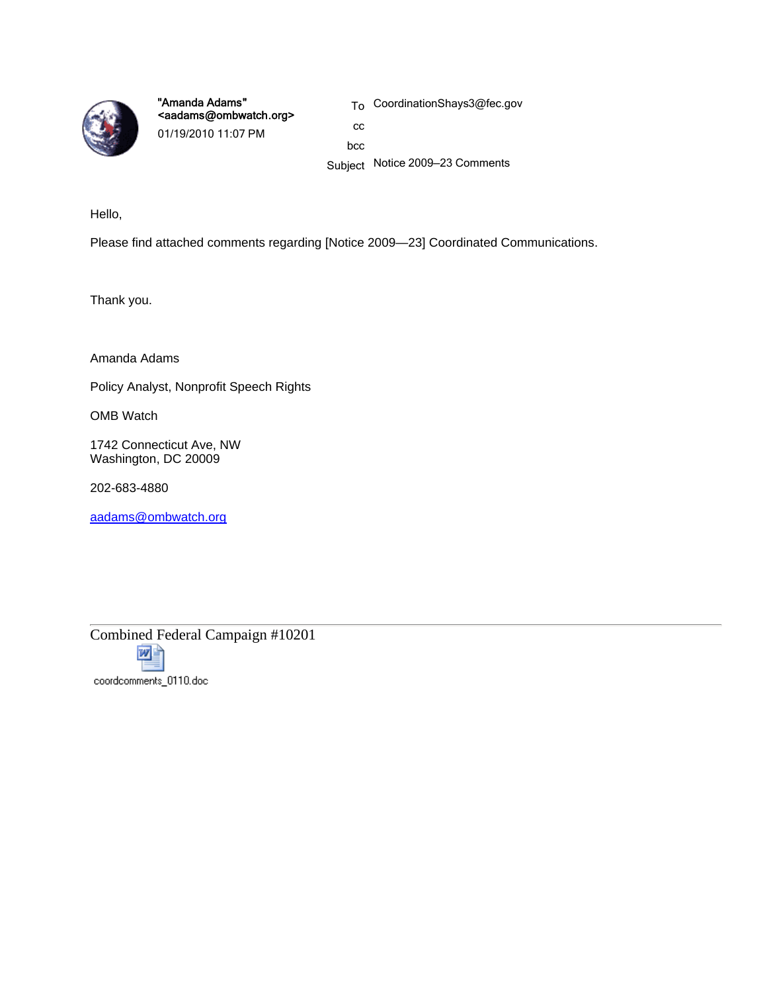

"Amanda Adams" <aadams@ombwatch.org> 01/19/2010 11:07 PM

To CoordinationShays3@fec.gov

cc bcc

Subject Notice 2009—23 Comments

Hello,

Please find attached comments regarding [Notice 2009—23] Coordinated Communications.

Thank you.

Amanda Adams

Policy Analyst, Nonprofit Speech Rights

OMB Watch

1742 Connecticut Ave, NW Washington, DC 20009

202-683-4880

aadams@ombwatch.org



coordcomments\_0110.doc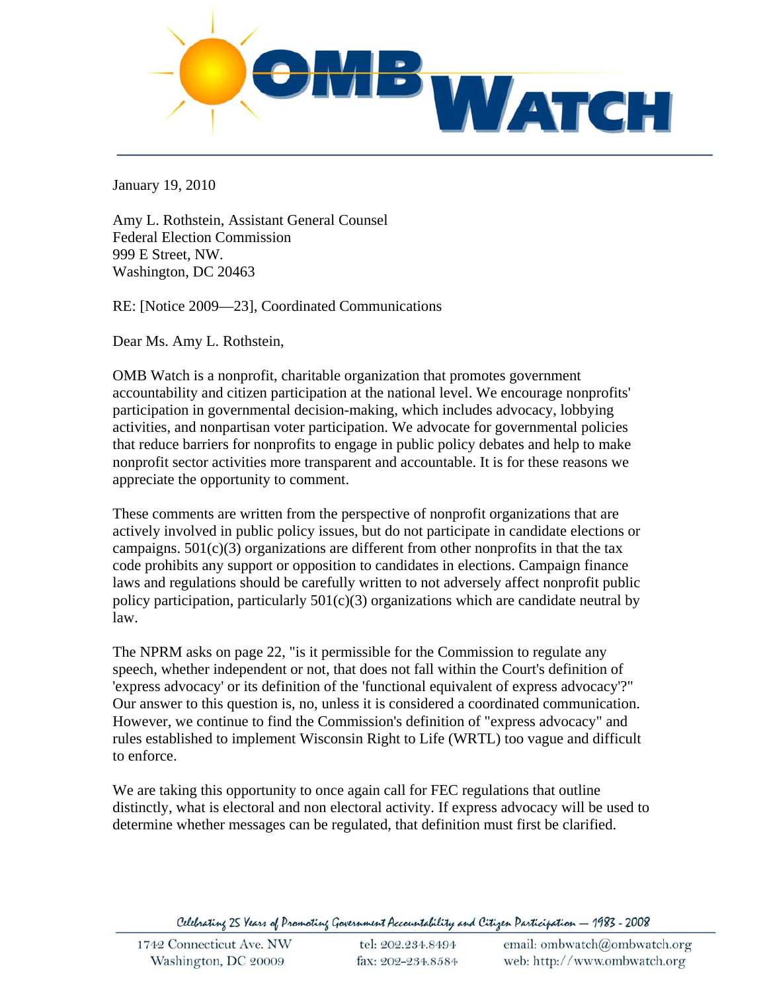

January 19, 2010

Amy L. Rothstein, Assistant General Counsel Federal Election Commission 999 E Street, NW. Washington, DC 20463

RE: [Notice 2009—23], Coordinated Communications

Dear Ms. Amy L. Rothstein,

OMB Watch is a nonprofit, charitable organization that promotes government accountability and citizen participation at the national level. We encourage nonprofits' participation in governmental decision-making, which includes advocacy, lobbying activities, and nonpartisan voter participation. We advocate for governmental policies that reduce barriers for nonprofits to engage in public policy debates and help to make nonprofit sector activities more transparent and accountable. It is for these reasons we appreciate the opportunity to comment.

These comments are written from the perspective of nonprofit organizations that are actively involved in public policy issues, but do not participate in candidate elections or campaigns.  $501(c)(3)$  organizations are different from other nonprofits in that the tax code prohibits any support or opposition to candidates in elections. Campaign finance laws and regulations should be carefully written to not adversely affect nonprofit public policy participation, particularly  $501(c)(3)$  organizations which are candidate neutral by law.

The NPRM asks on page 22, "is it permissible for the Commission to regulate any speech, whether independent or not, that does not fall within the Court's definition of 'express advocacy' or its definition of the 'functional equivalent of express advocacy'?" Our answer to this question is, no, unless it is considered a coordinated communication. However, we continue to find the Commission's definition of "express advocacy" and rules established to implement Wisconsin Right to Life (WRTL) too vague and difficult to enforce.

We are taking this opportunity to once again call for FEC regulations that outline distinctly, what is electoral and non electoral activity. If express advocacy will be used to determine whether messages can be regulated, that definition must first be clarified.

Celebrating 25 Years of Promoting Government Accountability and Citizen Participation — 1983 - 2008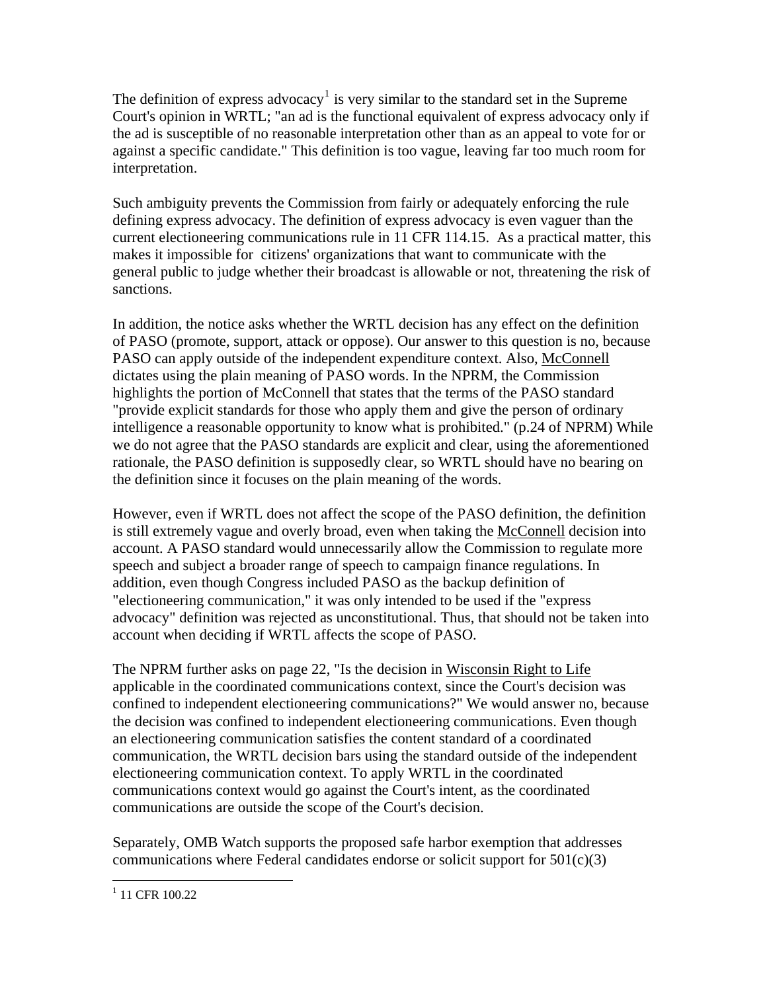The definition of express advocacy<sup>[1](#page-2-0)</sup> is very similar to the standard set in the Supreme Court's opinion in WRTL; "an ad is the functional equivalent of express advocacy only if the ad is susceptible of no reasonable interpretation other than as an appeal to vote for or against a specific candidate." This definition is too vague, leaving far too much room for interpretation.

Such ambiguity prevents the Commission from fairly or adequately enforcing the rule defining express advocacy. The definition of express advocacy is even vaguer than the current electioneering communications rule in 11 CFR 114.15. As a practical matter, this makes it impossible for citizens' organizations that want to communicate with the general public to judge whether their broadcast is allowable or not, threatening the risk of sanctions.

In addition, the notice asks whether the WRTL decision has any effect on the definition of PASO (promote, support, attack or oppose). Our answer to this question is no, because PASO can apply outside of the independent expenditure context. Also, McConnell dictates using the plain meaning of PASO words. In the NPRM, the Commission highlights the portion of McConnell that states that the terms of the PASO standard "provide explicit standards for those who apply them and give the person of ordinary intelligence a reasonable opportunity to know what is prohibited." (p.24 of NPRM) While we do not agree that the PASO standards are explicit and clear, using the aforementioned rationale, the PASO definition is supposedly clear, so WRTL should have no bearing on the definition since it focuses on the plain meaning of the words.

However, even if WRTL does not affect the scope of the PASO definition, the definition is still extremely vague and overly broad, even when taking the McConnell decision into account. A PASO standard would unnecessarily allow the Commission to regulate more speech and subject a broader range of speech to campaign finance regulations. In addition, even though Congress included PASO as the backup definition of "electioneering communication," it was only intended to be used if the "express advocacy" definition was rejected as unconstitutional. Thus, that should not be taken into account when deciding if WRTL affects the scope of PASO.

The NPRM further asks on page 22, "Is the decision in Wisconsin Right to Life applicable in the coordinated communications context, since the Court's decision was confined to independent electioneering communications?" We would answer no, because the decision was confined to independent electioneering communications. Even though an electioneering communication satisfies the content standard of a coordinated communication, the WRTL decision bars using the standard outside of the independent electioneering communication context. To apply WRTL in the coordinated communications context would go against the Court's intent, as the coordinated communications are outside the scope of the Court's decision.

Separately, OMB Watch supports the proposed safe harbor exemption that addresses communications where Federal candidates endorse or solicit support for  $501(c)(3)$ 

<span id="page-2-0"></span> $\overline{a}$ <sup>1</sup> 11 CFR 100.22